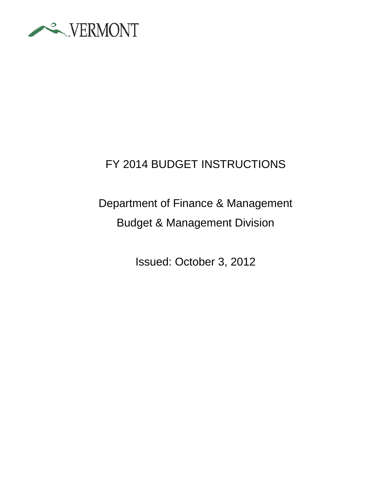

# FY 2014 BUDGET INSTRUCTIONS

# Department of Finance & Management Budget & Management Division

Issued: October 3, 2012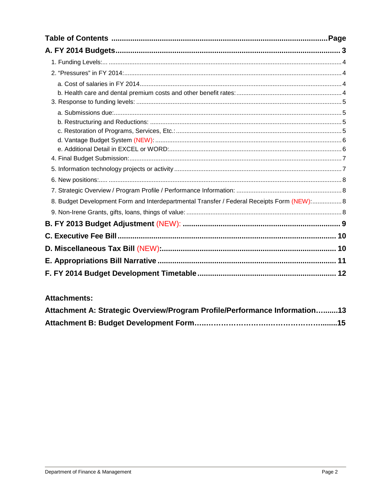| 8. Budget Development Form and Interdepartmental Transfer / Federal Receipts Form (NEW): 8 |  |
|--------------------------------------------------------------------------------------------|--|
|                                                                                            |  |
|                                                                                            |  |
|                                                                                            |  |
|                                                                                            |  |
|                                                                                            |  |
|                                                                                            |  |

#### **Attachments:**

| Attachment A: Strategic Overview/Program Profile/Performance Information13 |  |
|----------------------------------------------------------------------------|--|
|                                                                            |  |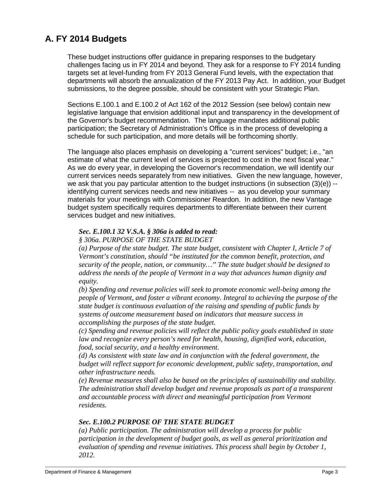## **A. FY 2014 Budgets**

These budget instructions offer guidance in preparing responses to the budgetary challenges facing us in FY 2014 and beyond. They ask for a response to FY 2014 funding targets set at level-funding from FY 2013 General Fund levels, with the expectation that departments will absorb the annualization of the FY 2013 Pay Act. In addition, your Budget submissions, to the degree possible, should be consistent with your Strategic Plan.

Sections E.100.1 and E.100.2 of Act 162 of the 2012 Session (see below) contain new legislative language that envision additional input and transparency in the development of the Governor's budget recommendation. The language mandates additional public participation; the Secretary of Administration's Office is in the process of developing a schedule for such participation, and more details will be forthcoming shortly.

The language also places emphasis on developing a "current services" budget; i.e., "an estimate of what the current level of services is projected to cost in the next fiscal year." As we do every year, in developing the Governor's recommendation, we will identify our current services needs separately from new initiatives. Given the new language, however, we ask that you pay particular attention to the budget instructions (in subsection  $(3)(e)$ ) -identifying current services needs and new initiatives -- as you develop your summary materials for your meetings with Commissioner Reardon. In addition, the new Vantage budget system specifically requires departments to differentiate between their current services budget and new initiatives.

#### *Sec. E.100.1 32 V.S.A. § 306a is added to read:*

*§ 306a. PURPOSE OF THE STATE BUDGET*

*(a) Purpose of the state budget. The state budget, consistent with Chapter I, Article 7 of Vermont's constitution, should "be instituted for the common benefit, protection, and security of the people, nation, or community…" The state budget should be designed to address the needs of the people of Vermont in a way that advances human dignity and equity.*

*(b) Spending and revenue policies will seek to promote economic well-being among the people of Vermont, and foster a vibrant economy. Integral to achieving the purpose of the state budget is continuous evaluation of the raising and spending of public funds by systems of outcome measurement based on indicators that measure success in accomplishing the purposes of the state budget.*

*(c) Spending and revenue policies will reflect the public policy goals established in state law and recognize every person's need for health, housing, dignified work, education, food, social security, and a healthy environment.* 

*(d) As consistent with state law and in conjunction with the federal government, the budget will reflect support for economic development, public safety, transportation, and other infrastructure needs.*

*(e) Revenue measures shall also be based on the principles of sustainability and stability. The administration shall develop budget and revenue proposals as part of a transparent and accountable process with direct and meaningful participation from Vermont residents.*

#### *Sec. E.100.2 PURPOSE OF THE STATE BUDGET*

*(a) Public participation. The administration will develop a process for public participation in the development of budget goals, as well as general prioritization and evaluation of spending and revenue initiatives. This process shall begin by October 1, 2012.*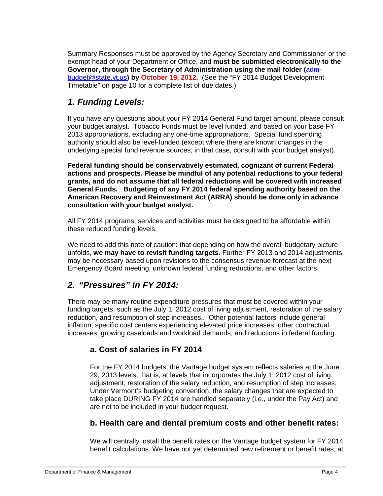Summary Responses must be approved by the Agency Secretary and Commissioner or the exempt head of your Department or Office, and **must be submitted electronically to the Governor, through the Secretary of Administration using the mail folder (**[adm](mailto:mailtoadm-budget@state.vt.us)[budget@state.vt.us](mailto:mailtoadm-budget@state.vt.us)**) by October 19, 2012.** (See the "FY 2014 Budget Development Timetable" on page 10 for a complete list of due dates.)

#### *1. Funding Levels:*

If you have any questions about your FY 2014 General Fund target amount, please consult your budget analyst. Tobacco Funds must be level funded, and based on your base FY 2013 appropriations, excluding any one-time appropriations. Special fund spending authority should also be level-funded (except where there are known changes in the underlying special fund revenue sources; in that case, consult with your budget analyst).

**Federal funding should be conservatively estimated, cognizant of current Federal actions and prospects. Please be mindful of any potential reductions to your federal grants, and do not assume that all federal reductions will be covered with increased General Funds. Budgeting of any FY 2014 federal spending authority based on the American Recovery and Reinvestment Act (ARRA) should be done only in advance consultation with your budget analyst.** 

All FY 2014 programs, services and activities must be designed to be affordable within these reduced funding levels.

We need to add this note of caution: that depending on how the overall budgetary picture unfolds, **we may have to revisit funding targets**. Further FY 2013 and 2014 adjustments may be necessary based upon revisions to the consensus revenue forecast at the next Emergency Board meeting, unknown federal funding reductions, and other factors.

#### *2. "Pressures" in FY 2014:*

There may be many routine expenditure pressures that must be covered within your funding targets, such as the July 1, 2012 cost of living adjustment, restoration of the salary reduction, and resumption of step increases.. Other potential factors include general inflation; specific cost centers experiencing elevated price increases; other contractual increases; growing caseloads and workload demands; and reductions in federal funding.

#### **a. Cost of salaries in FY 2014**

For the FY 2014 budgets, the Vantage budget system reflects salaries at the June 29, 2013 levels, that is, at levels that incorporates the July 1, 2012 cost of living adjustment, restoration of the salary reduction, and resumption of step increases. Under Vermont's budgeting convention, the salary changes that are expected to take place DURING FY 2014 are handled separately (i.e., under the Pay Act) and are not to be included in your budget request.

#### **b. Health care and dental premium costs and other benefit rates:**

We will centrally install the benefit rates on the Vantage budget system for FY 2014 benefit calculations. We have not yet determined new retirement or benefit rates; at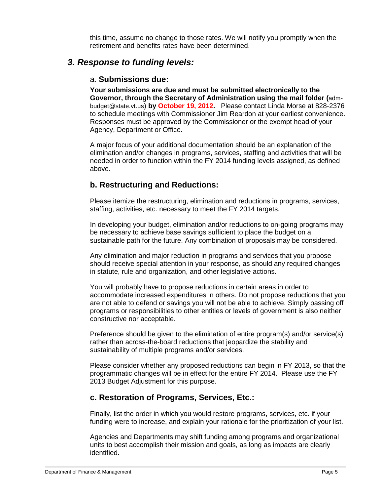this time, assume no change to those rates. We will notify you promptly when the retirement and benefits rates have been determined.

#### *3. Response to funding levels:*

#### a. **Submissions due:**

**Your submissions are due and must be submitted electronically to the Governor, through the Secretary of Administration using the mail folder (**admbudget@state.vt.us) **by October 19, 2012.** Please contact Linda Morse at 828-2376 to schedule meetings with Commissioner Jim Reardon at your earliest convenience. Responses must be approved by the Commissioner or the exempt head of your Agency, Department or Office.

A major focus of your additional documentation should be an explanation of the elimination and/or changes in programs, services, staffing and activities that will be needed in order to function within the FY 2014 funding levels assigned, as defined above.

#### **b. Restructuring and Reductions:**

Please itemize the restructuring, elimination and reductions in programs, services, staffing, activities, etc. necessary to meet the FY 2014 targets.

In developing your budget, elimination and/or reductions to on-going programs may be necessary to achieve base savings sufficient to place the budget on a sustainable path for the future. Any combination of proposals may be considered.

Any elimination and major reduction in programs and services that you propose should receive special attention in your response, as should any required changes in statute, rule and organization, and other legislative actions.

You will probably have to propose reductions in certain areas in order to accommodate increased expenditures in others. Do not propose reductions that you are not able to defend or savings you will not be able to achieve. Simply passing off programs or responsibilities to other entities or levels of government is also neither constructive nor acceptable.

Preference should be given to the elimination of entire program(s) and/or service(s) rather than across-the-board reductions that jeopardize the stability and sustainability of multiple programs and/or services.

Please consider whether any proposed reductions can begin in FY 2013, so that the programmatic changes will be in effect for the entire FY 2014. Please use the FY 2013 Budget Adjustment for this purpose.

#### **c. Restoration of Programs, Services, Etc.:**

Finally, list the order in which you would restore programs, services, etc. if your funding were to increase, and explain your rationale for the prioritization of your list.

Agencies and Departments may shift funding among programs and organizational units to best accomplish their mission and goals, as long as impacts are clearly identified.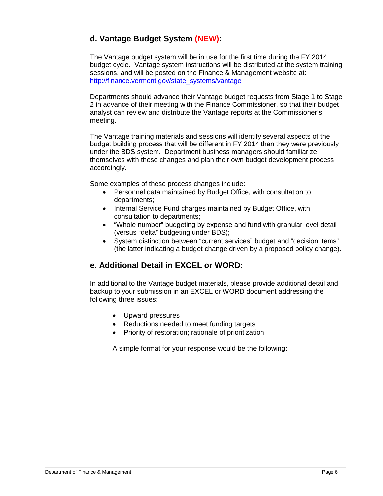#### **d. Vantage Budget System (NEW):**

The Vantage budget system will be in use for the first time during the FY 2014 budget cycle. Vantage system instructions will be distributed at the system training sessions, and will be posted on the Finance & Management website at: [http://finance.vermont.gov/state\\_systems/vantage](http://finance.vermont.gov/state_systems/vantage)

Departments should advance their Vantage budget requests from Stage 1 to Stage 2 in advance of their meeting with the Finance Commissioner, so that their budget analyst can review and distribute the Vantage reports at the Commissioner's meeting.

The Vantage training materials and sessions will identify several aspects of the budget building process that will be different in FY 2014 than they were previously under the BDS system. Department business managers should familiarize themselves with these changes and plan their own budget development process accordingly.

Some examples of these process changes include:

- Personnel data maintained by Budget Office, with consultation to departments;
- Internal Service Fund charges maintained by Budget Office, with consultation to departments;
- "Whole number" budgeting by expense and fund with granular level detail (versus "delta" budgeting under BDS);
- System distinction between "current services" budget and "decision items" (the latter indicating a budget change driven by a proposed policy change).

#### **e. Additional Detail in EXCEL or WORD:**

In additional to the Vantage budget materials, please provide additional detail and backup to your submission in an EXCEL or WORD document addressing the following three issues:

- Upward pressures
- Reductions needed to meet funding targets
- Priority of restoration; rationale of prioritization

A simple format for your response would be the following: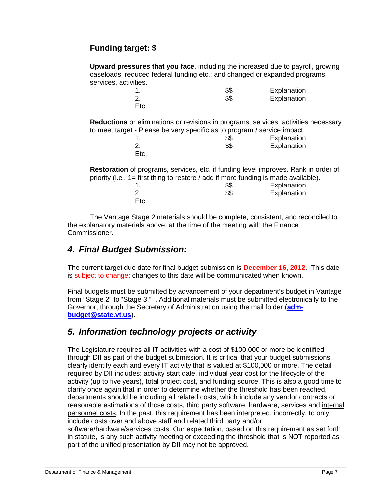### **Funding target: \$**

**Upward pressures that you face**, including the increased due to payroll, growing caseloads, reduced federal funding etc.; and changed or expanded programs, services, activities.

|                                                                                            | \$\$ | Explanation |  |  |
|--------------------------------------------------------------------------------------------|------|-------------|--|--|
| 2.                                                                                         | \$\$ | Explanation |  |  |
| Etc.                                                                                       |      |             |  |  |
| <b>Reductions</b> or eliminations or revisions in programs, services, activities necessary |      |             |  |  |
| to meet target - Please be very specific as to program / service impact.                   |      |             |  |  |
|                                                                                            | \$\$ | Explanation |  |  |
|                                                                                            | \$\$ | Explanation |  |  |
| Etc.                                                                                       |      |             |  |  |

**Restoration** of programs, services, etc. if funding level improves. Rank in order of priority (i.e., 1= first thing to restore / add if more funding is made available). 1. \$\$ Explanation **Explanation** Etc.

The Vantage Stage 2 materials should be complete, consistent, and reconciled to the explanatory materials above, at the time of the meeting with the Finance Commissioner.

#### *4. Final Budget Submission:*

The current target due date for final budget submission is **December 16, 2012**. This date is subject to change; changes to this date will be communicated when known.

Final budgets must be submitted by advancement of your department's budget in Vantage from "Stage 2" to "Stage 3." . Additional materials must be submitted electronically to the Governor, through the Secretary of Administration using the mail folder (**[adm](mailto:mailtoadm-budget@state.vt.us)[budget@state.vt.us](mailto:mailtoadm-budget@state.vt.us)**).

#### *5. Information technology projects or activity*

The Legislature requires all IT activities with a cost of \$100,000 or more be identified through DII as part of the budget submission. It is critical that your budget submissions clearly identify each and every IT activity that is valued at \$100,000 or more. The detail required by DII includes: activity start date, individual year cost for the lifecycle of the activity (up to five years), total project cost, and funding source. This is also a good time to clarify once again that in order to determine whether the threshold has been reached, departments should be including all related costs, which include any vendor contracts or reasonable estimations of those costs, third party software, hardware, services and internal personnel costs. In the past, this requirement has been interpreted, incorrectly, to only include costs over and above staff and related third party and/or

software/hardware/services costs. Our expectation, based on this requirement as set forth in statute, is any such activity meeting or exceeding the threshold that is NOT reported as part of the unified presentation by DII may not be approved.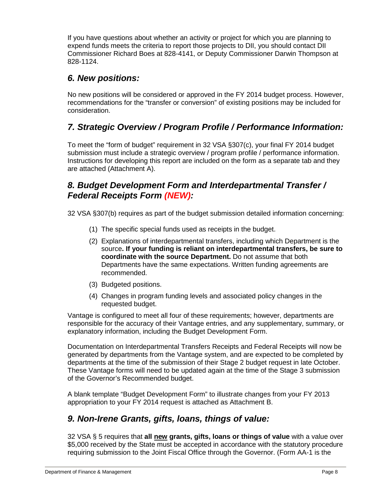If you have questions about whether an activity or project for which you are planning to expend funds meets the criteria to report those projects to DII, you should contact DII Commissioner Richard Boes at 828-4141, or Deputy Commissioner Darwin Thompson at 828-1124.

### *6. New positions:*

No new positions will be considered or approved in the FY 2014 budget process. However, recommendations for the "transfer or conversion" of existing positions may be included for consideration.

## *7. Strategic Overview / Program Profile / Performance Information:*

To meet the "form of budget" requirement in 32 VSA §307(c), your final FY 2014 budget submission must include a strategic overview / program profile / performance information. Instructions for developing this report are included on the form as a separate tab and they are attached (Attachment A).

#### *8. Budget Development Form and Interdepartmental Transfer / Federal Receipts Form (NEW):*

32 VSA §307(b) requires as part of the budget submission detailed information concerning:

- (1) The specific special funds used as receipts in the budget.
- (2) Explanations of interdepartmental transfers, including which Department is the source**. If your funding is reliant on interdepartmental transfers, be sure to coordinate with the source Department.** Do not assume that both Departments have the same expectations. Written funding agreements are recommended.
- (3) Budgeted positions.
- (4) Changes in program funding levels and associated policy changes in the requested budget.

Vantage is configured to meet all four of these requirements; however, departments are responsible for the accuracy of their Vantage entries, and any supplementary, summary, or explanatory information, including the Budget Development Form.

Documentation on Interdepartmental Transfers Receipts and Federal Receipts will now be generated by departments from the Vantage system, and are expected to be completed by departments at the time of the submission of their Stage 2 budget request in late October. These Vantage forms will need to be updated again at the time of the Stage 3 submission of the Governor's Recommended budget.

A blank template "Budget Development Form" to illustrate changes from your FY 2013 appropriation to your FY 2014 request is attached as Attachment B.

#### *9. Non-Irene Grants, gifts, loans, things of value:*

32 VSA § 5 requires that **all new grants, gifts, loans or things of value** with a value over \$5,000 received by the State must be accepted in accordance with the statutory procedure requiring submission to the Joint Fiscal Office through the Governor. (Form AA-1 is the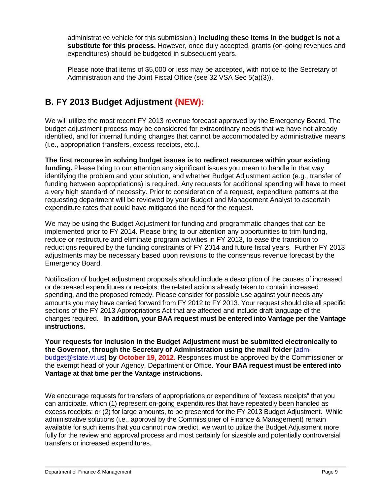administrative vehicle for this submission.) **Including these items in the budget is not a substitute for this process.** However, once duly accepted, grants (on-going revenues and expenditures) should be budgeted in subsequent years.

Please note that items of \$5,000 or less may be accepted, with notice to the Secretary of Administration and the Joint Fiscal Office (see 32 VSA Sec 5(a)(3)).

## **B. FY 2013 Budget Adjustment (NEW):**

We will utilize the most recent FY 2013 revenue forecast approved by the Emergency Board. The budget adjustment process may be considered for extraordinary needs that we have not already identified, and for internal funding changes that cannot be accommodated by administrative means (i.e., appropriation transfers, excess receipts, etc.).

**The first recourse in solving budget issues is to redirect resources within your existing funding.** Please bring to our attention any significant issues you mean to handle in that way, identifying the problem and your solution, and whether Budget Adjustment action (e.g., transfer of funding between appropriations) is required. Any requests for additional spending will have to meet a very high standard of necessity. Prior to consideration of a request, expenditure patterns at the requesting department will be reviewed by your Budget and Management Analyst to ascertain expenditure rates that could have mitigated the need for the request.

We may be using the Budget Adjustment for funding and programmatic changes that can be implemented prior to FY 2014. Please bring to our attention any opportunities to trim funding, reduce or restructure and eliminate program activities in FY 2013, to ease the transition to reductions required by the funding constraints of FY 2014 and future fiscal years. Further FY 2013 adjustments may be necessary based upon revisions to the consensus revenue forecast by the Emergency Board.

Notification of budget adjustment proposals should include a description of the causes of increased or decreased expenditures or receipts, the related actions already taken to contain increased spending, and the proposed remedy. Please consider for possible use against your needs any amounts you may have carried forward from FY 2012 to FY 2013. Your request should cite all specific sections of the FY 2013 Appropriations Act that are affected and include draft language of the changes required. **In addition, your BAA request must be entered into Vantage per the Vantage instructions.**

**Your requests for inclusion in the Budget Adjustment must be submitted electronically to the Governor, through the Secretary of Administration using the mail folder (**[adm](mailto:mailtoadm-budget@state.vt.us)[budget@state.vt.us](mailto:mailtoadm-budget@state.vt.us)**) by October 19, 2012.** Responses must be approved by the Commissioner or the exempt head of your Agency, Department or Office. **Your BAA request must be entered into Vantage at that time per the Vantage instructions.**

We encourage requests for transfers of appropriations or expenditure of "excess receipts" that you can anticipate, which (1) represent on-going expenditures that have repeatedly been handled as excess receipts; or (2) for large amounts, to be presented for the FY 2013 Budget Adjustment. While administrative solutions (i.e., approval by the Commissioner of Finance & Management) remain available for such items that you cannot now predict, we want to utilize the Budget Adjustment more fully for the review and approval process and most certainly for sizeable and potentially controversial transfers or increased expenditures.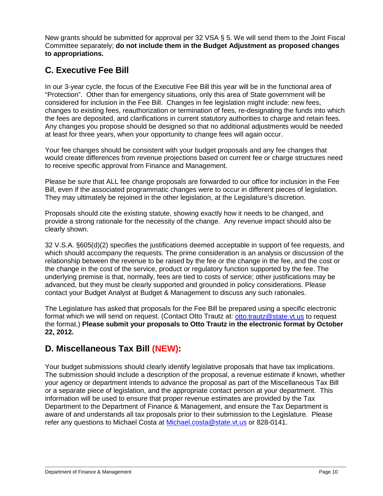New grants should be submitted for approval per 32 VSA § 5. We will send them to the Joint Fiscal Committee separately; **do not include them in the Budget Adjustment as proposed changes to appropriations.**

# **C. Executive Fee Bill**

In our 3-year cycle, the focus of the Executive Fee Bill this year will be in the functional area of "Protection". Other than for emergency situations, only this area of State government will be considered for inclusion in the Fee Bill. Changes in fee legislation might include: new fees, changes to existing fees, reauthorization or termination of fees, re-designating the funds into which the fees are deposited, and clarifications in current statutory authorities to charge and retain fees. Any changes you propose should be designed so that no additional adjustments would be needed at least for three years, when your opportunity to change fees will again occur.

Your fee changes should be consistent with your budget proposals and any fee changes that would create differences from revenue projections based on current fee or charge structures need to receive specific approval from Finance and Management.

Please be sure that ALL fee change proposals are forwarded to our office for inclusion in the Fee Bill, even if the associated programmatic changes were to occur in different pieces of legislation. They may ultimately be rejoined in the other legislation, at the Legislature's discretion.

Proposals should cite the existing statute, showing exactly how it needs to be changed, and provide a strong rationale for the necessity of the change. Any revenue impact should also be clearly shown.

32 V.S.A. §605(d)(2) specifies the justifications deemed acceptable in support of fee requests, and which should accompany the requests. The prime consideration is an analysis or discussion of the relationship between the revenue to be raised by the fee or the change in the fee, and the cost or the change in the cost of the service, product or regulatory function supported by the fee. The underlying premise is that, normally, fees are tied to costs of service; other justifications may be advanced, but they must be clearly supported and grounded in policy considerations. Please contact your Budget Analyst at Budget & Management to discuss any such rationales.

The Legislature has asked that proposals for the Fee Bill be prepared using a specific electronic format which we will send on request. (Contact Otto Trautz at: [otto.trautz@state.vt.us](mailto:otto.trautz@state.vt.us) to request the format.) **Please submit your proposals to Otto Trautz in the electronic format by October 22, 2012.**

### **D. Miscellaneous Tax Bill (NEW):**

Your budget submissions should clearly identify legislative proposals that have tax implications. The submission should include a description of the proposal, a revenue estimate if known, whether your agency or department intends to advance the proposal as part of the Miscellaneous Tax Bill or a separate piece of legislation, and the appropriate contact person at your department. This information will be used to ensure that proper revenue estimates are provided by the Tax Department to the Department of Finance & Management, and ensure the Tax Department is aware of and understands all tax proposals prior to their submission to the Legislature. Please refer any questions to Michael Costa at [Michael.costa@state.vt.us](mailto:Michael.costa@state.vt.us) or 828-0141.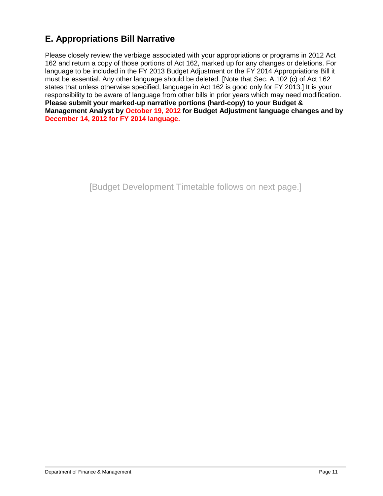# **E. Appropriations Bill Narrative**

Please closely review the verbiage associated with your appropriations or programs in 2012 Act 162 and return a copy of those portions of Act 162, marked up for any changes or deletions. For language to be included in the FY 2013 Budget Adjustment or the FY 2014 Appropriations Bill it must be essential. Any other language should be deleted. [Note that Sec. A.102 (c) of Act 162 states that unless otherwise specified, language in Act 162 is good only for FY 2013.] It is your responsibility to be aware of language from other bills in prior years which may need modification. **Please submit your marked-up narrative portions (hard-copy) to your Budget & Management Analyst by October 19, 2012 for Budget Adjustment language changes and by December 14, 2012 for FY 2014 language.**

[Budget Development Timetable follows on next page.]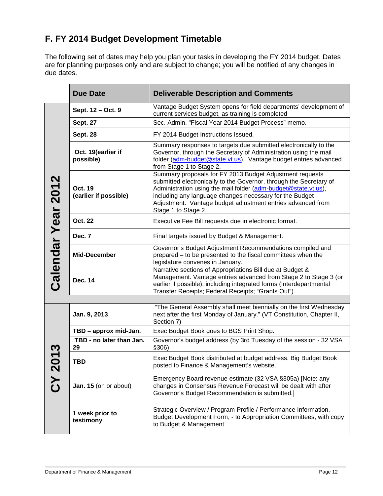# **F. FY 2014 Budget Development Timetable**

The following set of dates may help you plan your tasks in developing the FY 2014 budget. Dates are for planning purposes only and are subject to change; you will be notified of any changes in due dates.

|                    | <b>Due Date</b>                  | <b>Deliverable Description and Comments</b>                                                                                                                                                                                                                                                                                                       |  |  |  |  |  |
|--------------------|----------------------------------|---------------------------------------------------------------------------------------------------------------------------------------------------------------------------------------------------------------------------------------------------------------------------------------------------------------------------------------------------|--|--|--|--|--|
|                    | Sept. 12 - Oct. 9                | Vantage Budget System opens for field departments' development of<br>current services budget, as training is completed                                                                                                                                                                                                                            |  |  |  |  |  |
|                    | <b>Sept. 27</b>                  | Sec. Admin. "Fiscal Year 2014 Budget Process" memo.                                                                                                                                                                                                                                                                                               |  |  |  |  |  |
|                    | <b>Sept. 28</b>                  | FY 2014 Budget Instructions Issued.                                                                                                                                                                                                                                                                                                               |  |  |  |  |  |
|                    | Oct. 19(earlier if<br>possible)  | Summary responses to targets due submitted electronically to the<br>Governor, through the Secretary of Administration using the mail<br>folder (adm-budget@state.vt.us). Vantage budget entries advanced<br>from Stage 1 to Stage 2.                                                                                                              |  |  |  |  |  |
|                    | Oct. 19<br>(earlier if possible) | Summary proposals for FY 2013 Budget Adjustment requests<br>submitted electronically to the Governor, through the Secretary of<br>Administration using the mail folder (adm-budget@state.vt.us),<br>including any language changes necessary for the Budget<br>Adjustment. Vantage budget adjustment entries advanced from<br>Stage 1 to Stage 2. |  |  |  |  |  |
|                    | Oct. 22                          | Executive Fee Bill requests due in electronic format.                                                                                                                                                                                                                                                                                             |  |  |  |  |  |
|                    | Dec. 7                           | Final targets issued by Budget & Management.                                                                                                                                                                                                                                                                                                      |  |  |  |  |  |
| Calendar Year 2012 | <b>Mid-December</b>              | Governor's Budget Adjustment Recommendations compiled and<br>prepared – to be presented to the fiscal committees when the<br>legislature convenes in January.                                                                                                                                                                                     |  |  |  |  |  |
|                    | <b>Dec. 14</b>                   | Narrative sections of Appropriations Bill due at Budget &<br>Management. Vantage entries advanced from Stage 2 to Stage 3 (or<br>earlier if possible); including integrated forms (Interdepartmental<br>Transfer Receipts; Federal Receipts; "Grants Out").                                                                                       |  |  |  |  |  |
|                    |                                  |                                                                                                                                                                                                                                                                                                                                                   |  |  |  |  |  |
|                    | Jan. 9, 2013                     | "The General Assembly shall meet biennially on the first Wednesday<br>next after the first Monday of January." (VT Constitution, Chapter II,<br>Section 7)                                                                                                                                                                                        |  |  |  |  |  |
|                    | TBD - approx mid-Jan.            | Exec Budget Book goes to BGS Print Shop.                                                                                                                                                                                                                                                                                                          |  |  |  |  |  |
| <u>က</u>           | TBD - no later than Jan.<br>29   | Governor's budget address (by 3rd Tuesday of the session - 32 VSA<br>\$306)                                                                                                                                                                                                                                                                       |  |  |  |  |  |
| <b>12</b>          | <b>TBD</b>                       | Exec Budget Book distributed at budget address. Big Budget Book<br>posted to Finance & Management's website.                                                                                                                                                                                                                                      |  |  |  |  |  |
| CY <sub>2</sub>    | Jan. 15 (on or about)            | Emergency Board revenue estimate (32 VSA §305a) [Note: any<br>changes in Consensus Revenue Forecast will be dealt with after<br>Governor's Budget Recommendation is submitted.]                                                                                                                                                                   |  |  |  |  |  |
|                    | 1 week prior to<br>testimony     | Strategic Overview / Program Profile / Performance Information,<br>Budget Development Form, - to Appropriation Committees, with copy<br>to Budget & Management                                                                                                                                                                                    |  |  |  |  |  |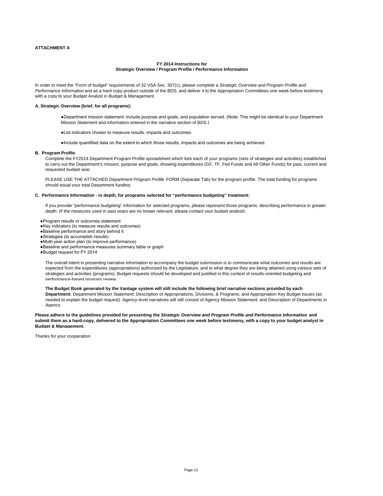#### **FY 2014 Instructions for Strategic Overview / Program Profile / Performance Information**

In order to meet the "Form of budget" requirements of 32 VSA Sec. 307(c), please complete a *Strategic Overview and Program Profile and Performance Information* and as a hard copy product outside of the BDS, and deliver it to the Appropriation Committees one week before testimony with a copy to your Budget Analyst in Budget & Management.

#### **A. Strategic Overview (brief, for all programs):**

- ●Department mission statement: include purpose and goals, and population served. (Note: This might be identical to your Department Mission Statement and information entered in the narrative section of BDS.)
- ●List indicators chosen to measure results, impacts and outcomes.
- ●Include quantified data on the extent to which those results, impacts and outcomes are being achieved.

#### **B. Program Profile**:

Complete the FY2014 Department Program Profile spreadsheet which lists each of your programs (sets of strategies and activities) established to carry out the Department's mission, purpose and goals; showing expenditures (GF, TF, Fed Funds and All Other Funds) for past, current and requested budget year.

PLEASE USE THE ATTACHED *Department Program Profile* FORM (Separate Tab) for the program profile. The total funding for programs should equal your total Department funding.

#### **C. Performance Information - in depth, for programs selected for "performance budgeting" treatment:**

If you provide "performance budgeting" information for selected programs, please represent those programs, describing performance in greater depth: (if the measures used in past years are no longer relevant, please contact your budget analyst).

- ●Program results or outcomes statement
- ●Key indicators (to measure results and outcomes)
- ●Baseline performance and story behind it
- ●Strategies (to accomplish results)
- ●Multi-year action plan (to improve performance)
- ●Baseline and performance measures summary table or graph

●Budget request for FY 2014

The overall intent in presenting narrative information to accompany the budget submission is to communicate what outcomes and results are expected from the expenditures (appropriations) authorized by the Legislature, and to what degree they are being attained using various sets of strategies and activities (programs). Budget requests should be developed and justified in this context of results-oriented budgeting and performance-based program review

**The Budget Book generated by the Vantage system will still include the following brief narrative sections provided by each Department:** Department Mission Statement; Description of Appropriations, Divisions, & Programs; and Appropriation Key Budget Issues (as needed to explain the budget request). Agency-level narratives will still consist of Agency Mission Statement; and Description of Departments in Agency

**Please adhere to the guidelines provided for presenting the** *Strategic Overview and Program Profile and Performance Information* **and submit them as a hard-copy, delivered to the Appropriation Committees one week before testimony, with a copy to your budget analyst in Budget & Management.**

Thanks for your cooperation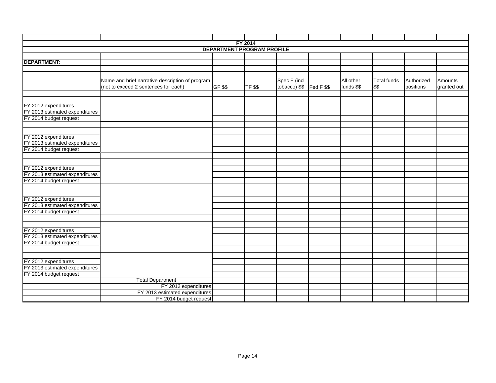|                                   |                                                 |         | <b>FY 2014</b> |                         |  |            |             |            |             |  |
|-----------------------------------|-------------------------------------------------|---------|----------------|-------------------------|--|------------|-------------|------------|-------------|--|
| <b>DEPARTMENT PROGRAM PROFILE</b> |                                                 |         |                |                         |  |            |             |            |             |  |
|                                   |                                                 |         |                |                         |  |            |             |            |             |  |
| <b>DEPARTMENT:</b>                |                                                 |         |                |                         |  |            |             |            |             |  |
|                                   |                                                 |         |                |                         |  |            |             |            |             |  |
|                                   |                                                 |         |                |                         |  |            |             |            |             |  |
|                                   | Name and brief narrative description of program |         |                | Spec F (incl            |  | All other  | Total funds | Authorized | Amounts     |  |
|                                   | (not to exceed 2 sentences for each)            | GF \$\$ | <b>TF \$\$</b> | tobacco) $$$  Fed F $$$ |  | funds \$\$ | \$\$        | positions  | granted out |  |
|                                   |                                                 |         |                |                         |  |            |             |            |             |  |
|                                   |                                                 |         |                |                         |  |            |             |            |             |  |
| FY 2012 expenditures              |                                                 |         |                |                         |  |            |             |            |             |  |
| FY 2013 estimated expenditures    |                                                 |         |                |                         |  |            |             |            |             |  |
| FY 2014 budget request            |                                                 |         |                |                         |  |            |             |            |             |  |
|                                   |                                                 |         |                |                         |  |            |             |            |             |  |
|                                   |                                                 |         |                |                         |  |            |             |            |             |  |
| FY 2012 expenditures              |                                                 |         |                |                         |  |            |             |            |             |  |
| FY 2013 estimated expenditures    |                                                 |         |                |                         |  |            |             |            |             |  |
| FY 2014 budget request            |                                                 |         |                |                         |  |            |             |            |             |  |
|                                   |                                                 |         |                |                         |  |            |             |            |             |  |
|                                   |                                                 |         |                |                         |  |            |             |            |             |  |
| FY 2012 expenditures              |                                                 |         |                |                         |  |            |             |            |             |  |
| FY 2013 estimated expenditures    |                                                 |         |                |                         |  |            |             |            |             |  |
| FY 2014 budget request            |                                                 |         |                |                         |  |            |             |            |             |  |
|                                   |                                                 |         |                |                         |  |            |             |            |             |  |
|                                   |                                                 |         |                |                         |  |            |             |            |             |  |
| FY 2012 expenditures              |                                                 |         |                |                         |  |            |             |            |             |  |
| FY 2013 estimated expenditures    |                                                 |         |                |                         |  |            |             |            |             |  |
| FY 2014 budget request            |                                                 |         |                |                         |  |            |             |            |             |  |
|                                   |                                                 |         |                |                         |  |            |             |            |             |  |
| FY 2012 expenditures              |                                                 |         |                |                         |  |            |             |            |             |  |
| FY 2013 estimated expenditures    |                                                 |         |                |                         |  |            |             |            |             |  |
| FY 2014 budget request            |                                                 |         |                |                         |  |            |             |            |             |  |
|                                   |                                                 |         |                |                         |  |            |             |            |             |  |
|                                   |                                                 |         |                |                         |  |            |             |            |             |  |
| FY 2012 expenditures              |                                                 |         |                |                         |  |            |             |            |             |  |
| FY 2013 estimated expenditures    |                                                 |         |                |                         |  |            |             |            |             |  |
| FY 2014 budget request            |                                                 |         |                |                         |  |            |             |            |             |  |
|                                   | <b>Total Department</b>                         |         |                |                         |  |            |             |            |             |  |
|                                   | FY 2012 expenditures                            |         |                |                         |  |            |             |            |             |  |
|                                   | FY 2013 estimated expenditures                  |         |                |                         |  |            |             |            |             |  |
|                                   | FY 2014 budget request                          |         |                |                         |  |            |             |            |             |  |
|                                   |                                                 |         |                |                         |  |            |             |            |             |  |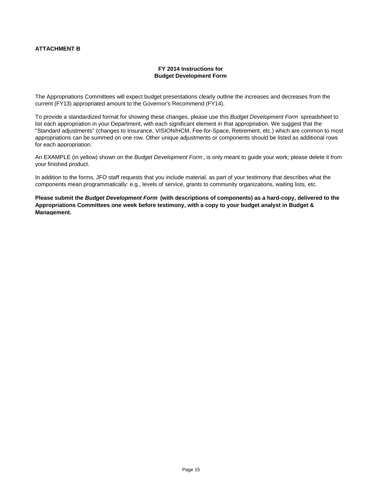#### **ATTACHMENT B**

#### **FY 2014 Instructions for Budget Development Form**

The Appropriations Committees will expect budget presentations clearly outline the increases and decreases from the current (FY13) appropriated amount to the Governor's Recommend (FY14).

To provide a standardized format for showing these changes, please use this *Budget Development Form* spreadsheet to list each appropriation in your Department, with each significant element in that appropriation. We suggest that the "Standard adjustments" (changes to Insurance, VISION/HCM, Fee-for-Space, Retirement, etc.) which are common to most appropriations can be summed on one row. Other unique adjustments or components should be listed as additional rows for each appropriation.

An EXAMPLE (in yellow) shown on the *Budget Development Form* , is only meant to guide your work; please delete it from your finished product.

In addition to the forms, JFO staff requests that you include material, as part of your testimony that describes what the components mean programmatically: e.g., levels of service, grants to community organizations, waiting lists, etc.

**Please submit the** *Budget Development Form* **(with descriptions of components) as a hard-copy, delivered to the Appropriations Committees one week before testimony, with a copy to your budget analyst in Budget & Management.**